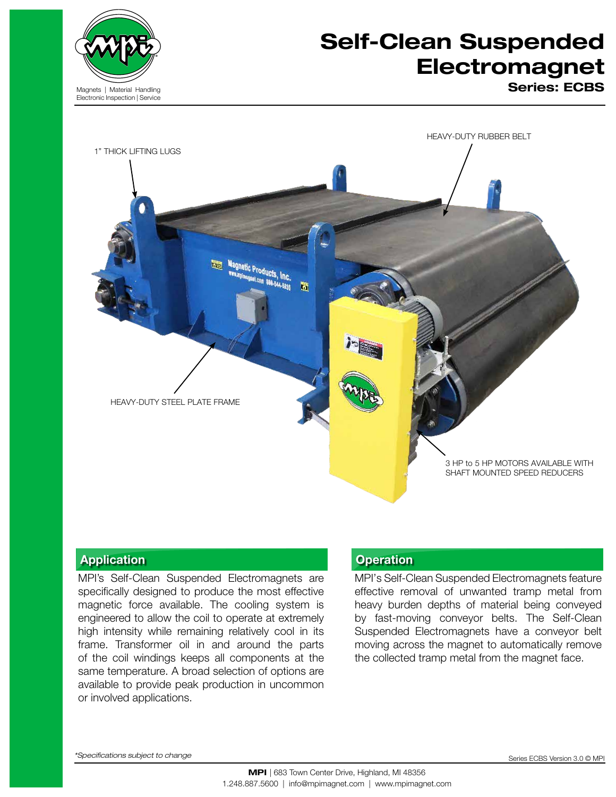

# Self-Clean Suspended **Electromagnet**

Series: ECBS



## Application **Application Application**

MPI's Self-Clean Suspended Electromagnets are specifically designed to produce the most effective magnetic force available. The cooling system is engineered to allow the coil to operate at extremely high intensity while remaining relatively cool in its frame. Transformer oil in and around the parts of the coil windings keeps all components at the same temperature. A broad selection of options are available to provide peak production in uncommon or involved applications.

MPI's Self-Clean Suspended Electromagnets feature effective removal of unwanted tramp metal from heavy burden depths of material being conveyed by fast-moving conveyor belts. The Self-Clean Suspended Electromagnets have a conveyor belt moving across the magnet to automatically remove the collected tramp metal from the magnet face.